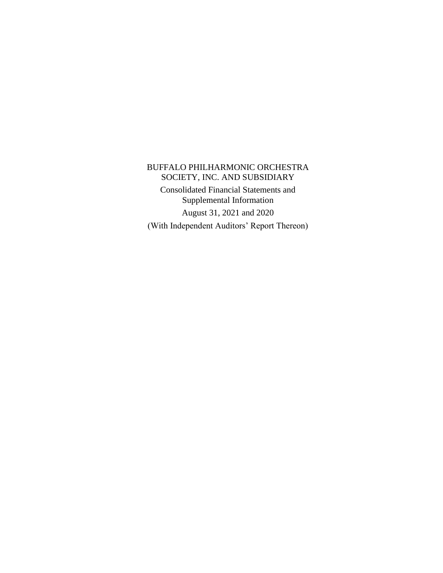BUFFALO PHILHARMONIC ORCHESTRA SOCIETY, INC. AND SUBSIDIARY Consolidated Financial Statements and Supplemental Information August 31, 2021 and 2020 (With Independent Auditors' Report Thereon)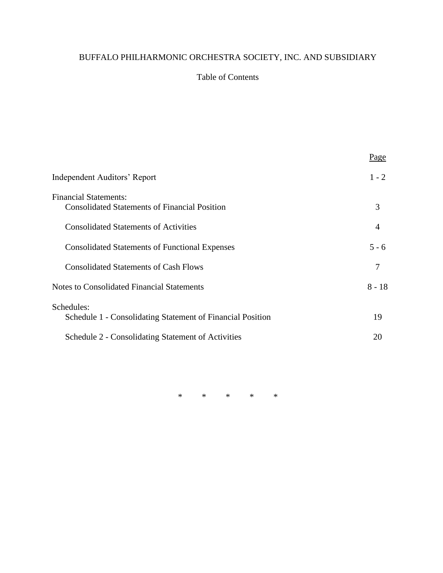# BUFFALO PHILHARMONIC ORCHESTRA SOCIETY, INC. AND SUBSIDIARY

Table of Contents

|                                                                                      | Page           |
|--------------------------------------------------------------------------------------|----------------|
| <b>Independent Auditors' Report</b>                                                  | $1 - 2$        |
| <b>Financial Statements:</b><br><b>Consolidated Statements of Financial Position</b> | 3              |
| <b>Consolidated Statements of Activities</b>                                         | $\overline{4}$ |
| <b>Consolidated Statements of Functional Expenses</b>                                | $5 - 6$        |
| <b>Consolidated Statements of Cash Flows</b>                                         | 7              |
| <b>Notes to Consolidated Financial Statements</b>                                    | $8 - 18$       |
| Schedules:<br>Schedule 1 - Consolidating Statement of Financial Position             | 19             |
| Schedule 2 - Consolidating Statement of Activities                                   | 20             |

\* \* \* \* \*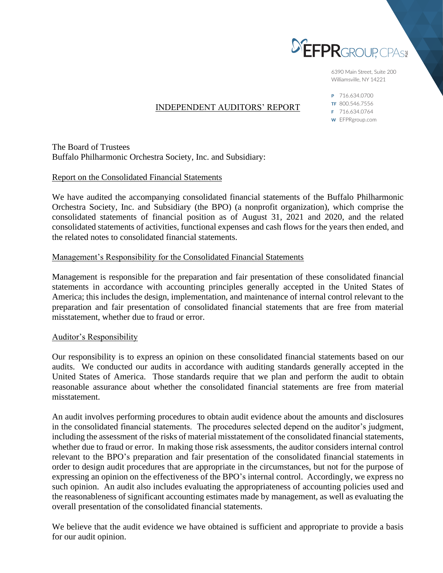

6390 Main Street, Suite 200 Williamsville, NY 14221

### INDEPENDENT AUDITORS' REPORT

P 716.634.0700 TF 800.546.7556 F 716.634.0764 W EFPRgroup.com

The Board of Trustees Buffalo Philharmonic Orchestra Society, Inc. and Subsidiary:

#### Report on the Consolidated Financial Statements

We have audited the accompanying consolidated financial statements of the Buffalo Philharmonic Orchestra Society, Inc. and Subsidiary (the BPO) (a nonprofit organization), which comprise the consolidated statements of financial position as of August 31, 2021 and 2020, and the related consolidated statements of activities, functional expenses and cash flows for the years then ended, and the related notes to consolidated financial statements.

#### Management's Responsibility for the Consolidated Financial Statements

Management is responsible for the preparation and fair presentation of these consolidated financial statements in accordance with accounting principles generally accepted in the United States of America; this includes the design, implementation, and maintenance of internal control relevant to the preparation and fair presentation of consolidated financial statements that are free from material misstatement, whether due to fraud or error.

#### Auditor's Responsibility

Our responsibility is to express an opinion on these consolidated financial statements based on our audits. We conducted our audits in accordance with auditing standards generally accepted in the United States of America. Those standards require that we plan and perform the audit to obtain reasonable assurance about whether the consolidated financial statements are free from material misstatement.

An audit involves performing procedures to obtain audit evidence about the amounts and disclosures in the consolidated financial statements. The procedures selected depend on the auditor's judgment, including the assessment of the risks of material misstatement of the consolidated financial statements, whether due to fraud or error. In making those risk assessments, the auditor considers internal control relevant to the BPO's preparation and fair presentation of the consolidated financial statements in order to design audit procedures that are appropriate in the circumstances, but not for the purpose of expressing an opinion on the effectiveness of the BPO's internal control. Accordingly, we express no such opinion. An audit also includes evaluating the appropriateness of accounting policies used and the reasonableness of significant accounting estimates made by management, as well as evaluating the overall presentation of the consolidated financial statements.

We believe that the audit evidence we have obtained is sufficient and appropriate to provide a basis for our audit opinion.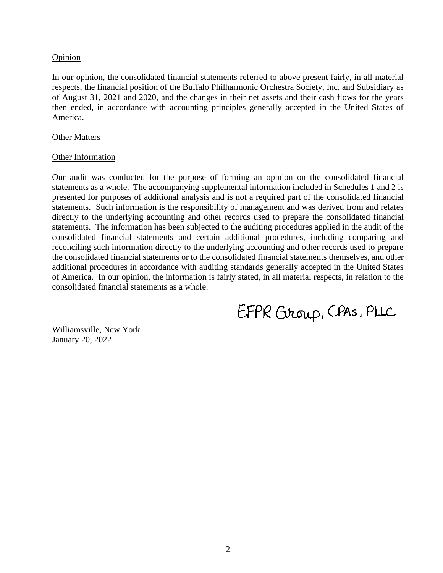#### **Opinion**

In our opinion, the consolidated financial statements referred to above present fairly, in all material respects, the financial position of the Buffalo Philharmonic Orchestra Society, Inc. and Subsidiary as of August 31, 2021 and 2020, and the changes in their net assets and their cash flows for the years then ended, in accordance with accounting principles generally accepted in the United States of America.

#### Other Matters

#### Other Information

Our audit was conducted for the purpose of forming an opinion on the consolidated financial statements as a whole. The accompanying supplemental information included in Schedules 1 and 2 is presented for purposes of additional analysis and is not a required part of the consolidated financial statements. Such information is the responsibility of management and was derived from and relates directly to the underlying accounting and other records used to prepare the consolidated financial statements. The information has been subjected to the auditing procedures applied in the audit of the consolidated financial statements and certain additional procedures, including comparing and reconciling such information directly to the underlying accounting and other records used to prepare the consolidated financial statements or to the consolidated financial statements themselves, and other additional procedures in accordance with auditing standards generally accepted in the United States of America. In our opinion, the information is fairly stated, in all material respects, in relation to the consolidated financial statements as a whole.

EFPR Group, CPAS, PLLC

Williamsville, New York January 20, 2022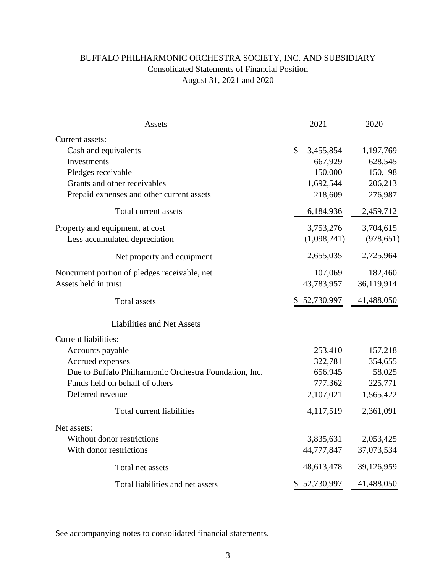# BUFFALO PHILHARMONIC ORCHESTRA SOCIETY, INC. AND SUBSIDIARY Consolidated Statements of Financial Position August 31, 2021 and 2020

| Assets                                                 | 2021                       | 2020       |
|--------------------------------------------------------|----------------------------|------------|
| Current assets:                                        |                            |            |
| Cash and equivalents                                   | $\mathsf{\$}$<br>3,455,854 | 1,197,769  |
| Investments                                            | 667,929                    | 628,545    |
| Pledges receivable                                     | 150,000                    | 150,198    |
| Grants and other receivables                           | 1,692,544                  | 206,213    |
| Prepaid expenses and other current assets              | 218,609                    | 276,987    |
| Total current assets                                   | 6,184,936                  | 2,459,712  |
| Property and equipment, at cost                        | 3,753,276                  | 3,704,615  |
| Less accumulated depreciation                          | (1,098,241)                | (978, 651) |
| Net property and equipment                             | 2,655,035                  | 2,725,964  |
| Noncurrent portion of pledges receivable, net          | 107,069                    | 182,460    |
| Assets held in trust                                   | 43,783,957                 | 36,119,914 |
| <b>Total assets</b>                                    | 52,730,997<br>\$           | 41,488,050 |
| <b>Liabilities and Net Assets</b>                      |                            |            |
| <b>Current liabilities:</b>                            |                            |            |
| Accounts payable                                       | 253,410                    | 157,218    |
| Accrued expenses                                       | 322,781                    | 354,655    |
| Due to Buffalo Philharmonic Orchestra Foundation, Inc. | 656,945                    | 58,025     |
| Funds held on behalf of others                         | 777,362                    | 225,771    |
| Deferred revenue                                       | 2,107,021                  | 1,565,422  |
| Total current liabilities                              | 4,117,519                  | 2,361,091  |
| Net assets:                                            |                            |            |
| Without donor restrictions                             | 3,835,631                  | 2,053,425  |
| With donor restrictions                                | 44,777,847                 | 37,073,534 |
| Total net assets                                       | 48,613,478                 | 39,126,959 |
| Total liabilities and net assets                       | \$52,730,997               | 41,488,050 |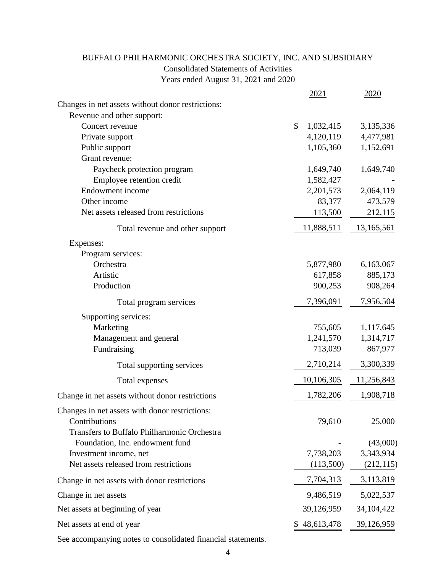### BUFFALO PHILHARMONIC ORCHESTRA SOCIETY, INC. AND SUBSIDIARY Consolidated Statements of Activities Years ended August 31, 2021 and 2020

|                                                   | 2021         |           | 2020         |
|---------------------------------------------------|--------------|-----------|--------------|
| Changes in net assets without donor restrictions: |              |           |              |
| Revenue and other support:                        |              |           |              |
| Concert revenue                                   | \$           | 1,032,415 | 3,135,336    |
| Private support                                   |              | 4,120,119 | 4,477,981    |
| Public support                                    |              | 1,105,360 | 1,152,691    |
| Grant revenue:                                    |              |           |              |
| Paycheck protection program                       |              | 1,649,740 | 1,649,740    |
| Employee retention credit                         |              | 1,582,427 |              |
| Endowment income                                  |              | 2,201,573 | 2,064,119    |
| Other income                                      |              | 83,377    | 473,579      |
| Net assets released from restrictions             |              | 113,500   | 212,115      |
| Total revenue and other support                   | 11,888,511   |           | 13,165,561   |
| Expenses:                                         |              |           |              |
| Program services:                                 |              |           |              |
| Orchestra                                         |              | 5,877,980 | 6,163,067    |
| Artistic                                          |              | 617,858   | 885,173      |
| Production                                        |              | 900,253   | 908,264      |
| Total program services                            |              | 7,396,091 | 7,956,504    |
| Supporting services:                              |              |           |              |
| Marketing                                         |              | 755,605   | 1,117,645    |
| Management and general                            |              | 1,241,570 | 1,314,717    |
| Fundraising                                       |              | 713,039   | 867,977      |
| Total supporting services                         |              | 2,710,214 | 3,300,339    |
| Total expenses                                    | 10,106,305   |           | 11,256,843   |
| Change in net assets without donor restrictions   |              | 1,782,206 | 1,908,718    |
| Changes in net assets with donor restrictions:    |              |           |              |
| Contributions                                     |              | 79,610    | 25,000       |
| Transfers to Buffalo Philharmonic Orchestra       |              |           |              |
| Foundation, Inc. endowment fund                   |              |           | (43,000)     |
| Investment income, net                            |              | 7,738,203 | 3,343,934    |
| Net assets released from restrictions             |              | (113,500) | (212, 115)   |
| Change in net assets with donor restrictions      |              | 7,704,313 | 3,113,819    |
| Change in net assets                              |              | 9,486,519 | 5,022,537    |
| Net assets at beginning of year                   | 39,126,959   |           | 34, 104, 422 |
| Net assets at end of year                         | \$48,613,478 |           | 39,126,959   |
|                                                   |              |           |              |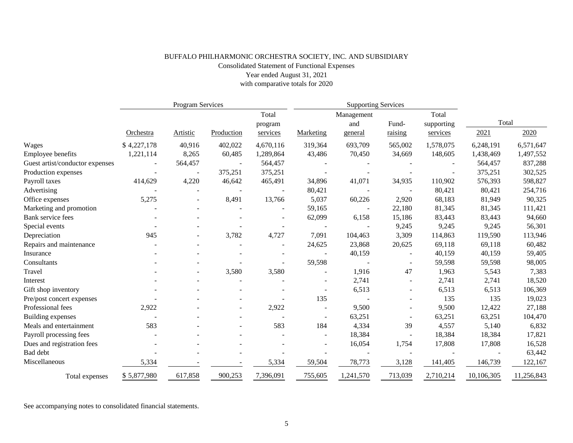#### BUFFALO PHILHARMONIC ORCHESTRA SOCIETY, INC. AND SUBSIDIARY Consolidated Statement of Functional Expenses Year ended August 31, 2021 with comparative totals for 2020

|                                 |             | Program Services |            |           | <b>Supporting Services</b> |            |         |            |            |            |  |
|---------------------------------|-------------|------------------|------------|-----------|----------------------------|------------|---------|------------|------------|------------|--|
|                                 |             |                  |            | Total     |                            | Management |         | Total      |            |            |  |
|                                 |             |                  |            | program   |                            | and        | Fund-   | supporting |            | Total      |  |
|                                 | Orchestra   | <b>Artistic</b>  | Production | services  | Marketing                  | general    | raising | services   | 2021       | 2020       |  |
| Wages                           | \$4,227,178 | 40,916           | 402,022    | 4,670,116 | 319,364                    | 693,709    | 565,002 | 1,578,075  | 6,248,191  | 6,571,647  |  |
| Employee benefits               | 1,221,114   | 8,265            | 60,485     | 1,289,864 | 43,486                     | 70,450     | 34,669  | 148,605    | 1,438,469  | 1,497,552  |  |
| Guest artist/conductor expenses |             | 564,457          |            | 564,457   |                            |            |         |            | 564,457    | 837,288    |  |
| Production expenses             |             |                  | 375,251    | 375,251   |                            |            |         |            | 375,251    | 302,525    |  |
| Payroll taxes                   | 414,629     | 4,220            | 46,642     | 465,491   | 34,896                     | 41,071     | 34,935  | 110,902    | 576,393    | 598,827    |  |
| Advertising                     |             |                  |            |           | 80,421                     |            |         | 80,421     | 80,421     | 254,716    |  |
| Office expenses                 | 5,275       |                  | 8,491      | 13,766    | 5,037                      | 60,226     | 2,920   | 68,183     | 81,949     | 90,325     |  |
| Marketing and promotion         |             |                  |            |           | 59,165                     |            | 22,180  | 81,345     | 81,345     | 111,421    |  |
| Bank service fees               |             |                  |            |           | 62,099                     | 6,158      | 15,186  | 83,443     | 83,443     | 94,660     |  |
| Special events                  |             |                  |            |           |                            |            | 9,245   | 9,245      | 9,245      | 56,301     |  |
| Depreciation                    | 945         |                  | 3,782      | 4,727     | 7,091                      | 104,463    | 3,309   | 114,863    | 119,590    | 113,946    |  |
| Repairs and maintenance         |             |                  |            |           | 24,625                     | 23,868     | 20,625  | 69,118     | 69,118     | 60,482     |  |
| Insurance                       |             |                  |            |           |                            | 40,159     |         | 40,159     | 40,159     | 59,405     |  |
| Consultants                     |             |                  |            |           | 59,598                     |            |         | 59,598     | 59,598     | 98,005     |  |
| Travel                          |             |                  | 3,580      | 3,580     |                            | 1,916      | 47      | 1,963      | 5,543      | 7,383      |  |
| Interest                        |             |                  |            |           |                            | 2,741      |         | 2,741      | 2,741      | 18,520     |  |
| Gift shop inventory             |             |                  |            |           |                            | 6,513      |         | 6,513      | 6,513      | 106,369    |  |
| Pre/post concert expenses       |             |                  |            |           | 135                        |            |         | 135        | 135        | 19,023     |  |
| Professional fees               | 2,922       |                  |            | 2,922     |                            | 9,500      |         | 9,500      | 12,422     | 27,188     |  |
| <b>Building expenses</b>        |             |                  |            |           |                            | 63,251     |         | 63,251     | 63,251     | 104,470    |  |
| Meals and entertainment         | 583         |                  |            | 583       | 184                        | 4,334      | 39      | 4,557      | 5,140      | 6,832      |  |
| Payroll processing fees         |             |                  |            |           |                            | 18,384     | $\sim$  | 18,384     | 18,384     | 17,821     |  |
| Dues and registration fees      |             |                  |            |           |                            | 16,054     | 1,754   | 17,808     | 17,808     | 16,528     |  |
| Bad debt                        |             |                  |            |           |                            |            |         |            |            | 63,442     |  |
| Miscellaneous                   | 5,334       |                  |            | 5,334     | 59,504                     | 78,773     | 3,128   | 141,405    | 146,739    | 122,167    |  |
| Total expenses                  | \$5,877,980 | 617,858          | 900,253    | 7,396,091 | 755,605                    | 1,241,570  | 713,039 | 2,710,214  | 10,106,305 | 11,256,843 |  |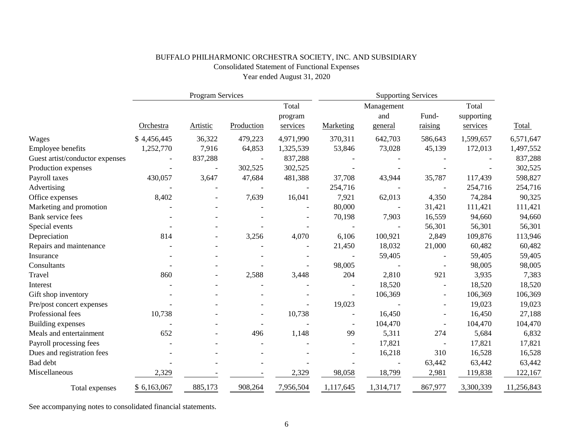#### BUFFALO PHILHARMONIC ORCHESTRA SOCIETY, INC. AND SUBSIDIARY Consolidated Statement of Functional Expenses Year ended August 31, 2020

|                                 | <b>Program Services</b> |                 |            |                              | <b>Supporting Services</b> |                                     |                  |                                 |            |
|---------------------------------|-------------------------|-----------------|------------|------------------------------|----------------------------|-------------------------------------|------------------|---------------------------------|------------|
|                                 | Orchestra               | <b>Artistic</b> | Production | Total<br>program<br>services | Marketing                  | Management<br>and<br><u>general</u> | Fund-<br>raising | Total<br>supporting<br>services | Total      |
| Wages                           | \$4,456,445             | 36,322          | 479,223    | 4,971,990                    | 370,311                    | 642,703                             | 586,643          | 1,599,657                       | 6,571,647  |
| <b>Employee benefits</b>        | 1,252,770               | 7,916           | 64,853     | 1,325,539                    | 53,846                     | 73,028                              | 45,139           | 172,013                         | 1,497,552  |
| Guest artist/conductor expenses |                         | 837,288         |            | 837,288                      |                            |                                     |                  |                                 | 837,288    |
| Production expenses             |                         |                 | 302,525    | 302,525                      |                            |                                     |                  |                                 | 302,525    |
| Payroll taxes                   | 430,057                 | 3,647           | 47,684     | 481,388                      | 37,708                     | 43,944                              | 35,787           | 117,439                         | 598,827    |
| Advertising                     |                         |                 |            |                              | 254,716                    |                                     |                  | 254,716                         | 254,716    |
| Office expenses                 | 8,402                   |                 | 7,639      | 16,041                       | 7,921                      | 62,013                              | 4,350            | 74,284                          | 90,325     |
| Marketing and promotion         |                         |                 |            |                              | 80,000                     |                                     | 31,421           | 111,421                         | 111,421    |
| Bank service fees               |                         |                 |            |                              | 70,198                     | 7,903                               | 16,559           | 94,660                          | 94,660     |
| Special events                  |                         |                 |            |                              |                            |                                     | 56,301           | 56,301                          | 56,301     |
| Depreciation                    | 814                     |                 | 3,256      | 4,070                        | 6,106                      | 100,921                             | 2,849            | 109,876                         | 113,946    |
| Repairs and maintenance         |                         |                 |            |                              | 21,450                     | 18,032                              | 21,000           | 60,482                          | 60,482     |
| Insurance                       |                         |                 |            |                              |                            | 59,405                              |                  | 59,405                          | 59,405     |
| Consultants                     |                         |                 |            |                              | 98,005                     |                                     |                  | 98,005                          | 98,005     |
| <b>Travel</b>                   | 860                     |                 | 2,588      | 3,448                        | 204                        | 2,810                               | 921              | 3,935                           | 7,383      |
| Interest                        |                         |                 |            |                              |                            | 18,520                              |                  | 18,520                          | 18,520     |
| Gift shop inventory             |                         |                 |            |                              |                            | 106,369                             |                  | 106,369                         | 106,369    |
| Pre/post concert expenses       |                         |                 |            |                              | 19,023                     |                                     |                  | 19,023                          | 19,023     |
| Professional fees               | 10,738                  |                 |            | 10,738                       |                            | 16,450                              |                  | 16,450                          | 27,188     |
| <b>Building expenses</b>        |                         |                 |            |                              |                            | 104,470                             |                  | 104,470                         | 104,470    |
| Meals and entertainment         | 652                     |                 | 496        | 1,148                        | 99                         | 5,311                               | 274              | 5,684                           | 6,832      |
| Payroll processing fees         |                         |                 |            |                              |                            | 17,821                              |                  | 17,821                          | 17,821     |
| Dues and registration fees      |                         |                 |            |                              |                            | 16,218                              | 310              | 16,528                          | 16,528     |
| Bad debt                        |                         |                 |            |                              |                            |                                     | 63,442           | 63,442                          | 63,442     |
| Miscellaneous                   | 2,329                   |                 |            | 2,329                        | 98,058                     | 18,799                              | 2,981            | 119,838                         | 122,167    |
| Total expenses                  | \$6,163,067             | 885,173         | 908,264    | 7,956,504                    | 1,117,645                  | 1,314,717                           | 867,977          | 3,300,339                       | 11,256,843 |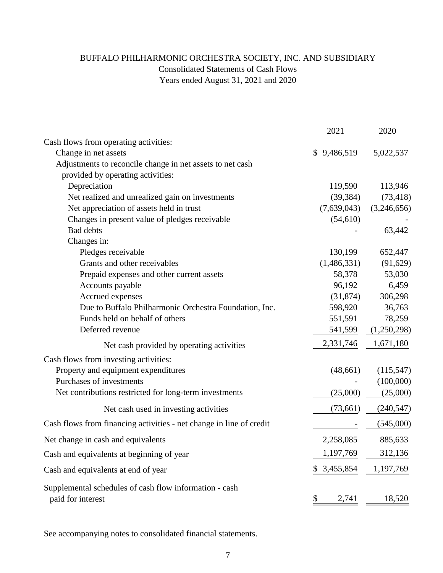# BUFFALO PHILHARMONIC ORCHESTRA SOCIETY, INC. AND SUBSIDIARY Consolidated Statements of Cash Flows Years ended August 31, 2021 and 2020

|                                                                     | <u>2021</u> | 2020        |
|---------------------------------------------------------------------|-------------|-------------|
| Cash flows from operating activities:                               |             |             |
| Change in net assets                                                | \$9,486,519 | 5,022,537   |
| Adjustments to reconcile change in net assets to net cash           |             |             |
| provided by operating activities:                                   |             |             |
| Depreciation                                                        | 119,590     | 113,946     |
| Net realized and unrealized gain on investments                     | (39, 384)   | (73, 418)   |
| Net appreciation of assets held in trust                            | (7,639,043) | (3,246,656) |
| Changes in present value of pledges receivable                      | (54, 610)   |             |
| <b>Bad debts</b>                                                    |             | 63,442      |
| Changes in:                                                         |             |             |
| Pledges receivable                                                  | 130,199     | 652,447     |
| Grants and other receivables                                        | (1,486,331) | (91, 629)   |
| Prepaid expenses and other current assets                           | 58,378      | 53,030      |
| Accounts payable                                                    | 96,192      | 6,459       |
| Accrued expenses                                                    | (31, 874)   | 306,298     |
| Due to Buffalo Philharmonic Orchestra Foundation, Inc.              | 598,920     | 36,763      |
| Funds held on behalf of others                                      | 551,591     | 78,259      |
| Deferred revenue                                                    | 541,599     | (1,250,298) |
| Net cash provided by operating activities                           | 2,331,746   | 1,671,180   |
| Cash flows from investing activities:                               |             |             |
| Property and equipment expenditures                                 | (48,661)    | (115, 547)  |
| Purchases of investments                                            |             | (100,000)   |
| Net contributions restricted for long-term investments              | (25,000)    | (25,000)    |
| Net cash used in investing activities                               | (73, 661)   | (240, 547)  |
| Cash flows from financing activities - net change in line of credit |             | (545,000)   |
| Net change in cash and equivalents                                  | 2,258,085   | 885,633     |
| Cash and equivalents at beginning of year                           | 1,197,769   | 312,136     |
| Cash and equivalents at end of year                                 | 3,455,854   | 1,197,769   |
| Supplemental schedules of cash flow information - cash              |             |             |
| paid for interest                                                   | 2,741<br>\$ | 18,520      |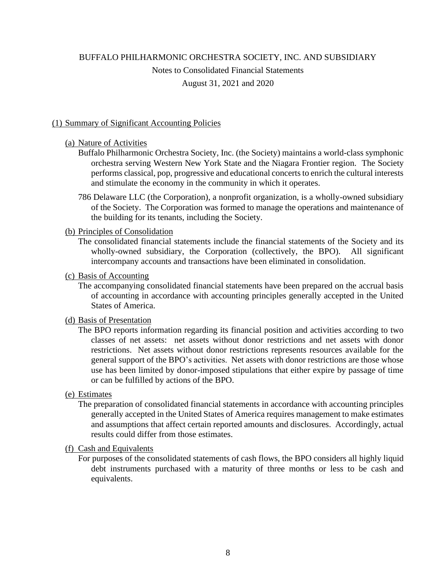#### BUFFALO PHILHARMONIC ORCHESTRA SOCIETY, INC. AND SUBSIDIARY

# Notes to Consolidated Financial Statements

August 31, 2021 and 2020

#### (1) Summary of Significant Accounting Policies

#### (a) Nature of Activities

- Buffalo Philharmonic Orchestra Society, Inc. (the Society) maintains a world-class symphonic orchestra serving Western New York State and the Niagara Frontier region. The Society performs classical, pop, progressive and educational concerts to enrich the cultural interests and stimulate the economy in the community in which it operates.
- 786 Delaware LLC (the Corporation), a nonprofit organization, is a wholly-owned subsidiary of the Society. The Corporation was formed to manage the operations and maintenance of the building for its tenants, including the Society.

#### (b) Principles of Consolidation

The consolidated financial statements include the financial statements of the Society and its wholly-owned subsidiary, the Corporation (collectively, the BPO). All significant intercompany accounts and transactions have been eliminated in consolidation.

#### (c) Basis of Accounting

The accompanying consolidated financial statements have been prepared on the accrual basis of accounting in accordance with accounting principles generally accepted in the United States of America.

#### (d) Basis of Presentation

The BPO reports information regarding its financial position and activities according to two classes of net assets: net assets without donor restrictions and net assets with donor restrictions. Net assets without donor restrictions represents resources available for the general support of the BPO's activities. Net assets with donor restrictions are those whose use has been limited by donor-imposed stipulations that either expire by passage of time or can be fulfilled by actions of the BPO.

#### (e) Estimates

The preparation of consolidated financial statements in accordance with accounting principles generally accepted in the United States of America requires management to make estimates and assumptions that affect certain reported amounts and disclosures. Accordingly, actual results could differ from those estimates.

#### (f) Cash and Equivalents

For purposes of the consolidated statements of cash flows, the BPO considers all highly liquid debt instruments purchased with a maturity of three months or less to be cash and equivalents.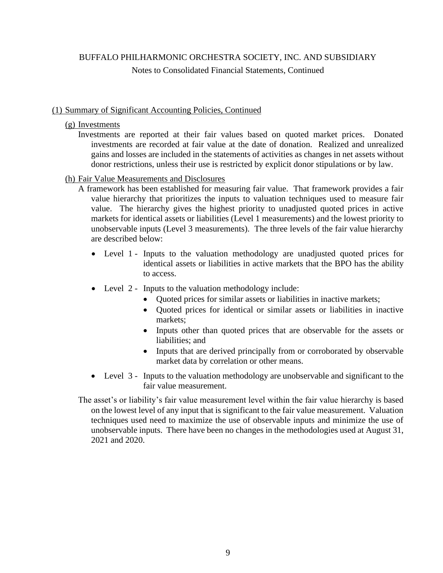#### (1) Summary of Significant Accounting Policies, Continued

#### (g) Investments

Investments are reported at their fair values based on quoted market prices. Donated investments are recorded at fair value at the date of donation. Realized and unrealized gains and losses are included in the statements of activities as changes in net assets without donor restrictions, unless their use is restricted by explicit donor stipulations or by law.

#### (h) Fair Value Measurements and Disclosures

- A framework has been established for measuring fair value. That framework provides a fair value hierarchy that prioritizes the inputs to valuation techniques used to measure fair value. The hierarchy gives the highest priority to unadjusted quoted prices in active markets for identical assets or liabilities (Level 1 measurements) and the lowest priority to unobservable inputs (Level 3 measurements). The three levels of the fair value hierarchy are described below:
	- Level 1 Inputs to the valuation methodology are unadjusted quoted prices for identical assets or liabilities in active markets that the BPO has the ability to access.
	- Level 2 Inputs to the valuation methodology include:
		- Quoted prices for similar assets or liabilities in inactive markets;
		- Quoted prices for identical or similar assets or liabilities in inactive markets;
		- Inputs other than quoted prices that are observable for the assets or liabilities; and
		- Inputs that are derived principally from or corroborated by observable market data by correlation or other means.
	- Level 3 Inputs to the valuation methodology are unobservable and significant to the fair value measurement.

The asset's or liability's fair value measurement level within the fair value hierarchy is based on the lowest level of any input that is significant to the fair value measurement. Valuation techniques used need to maximize the use of observable inputs and minimize the use of unobservable inputs. There have been no changes in the methodologies used at August 31, 2021 and 2020.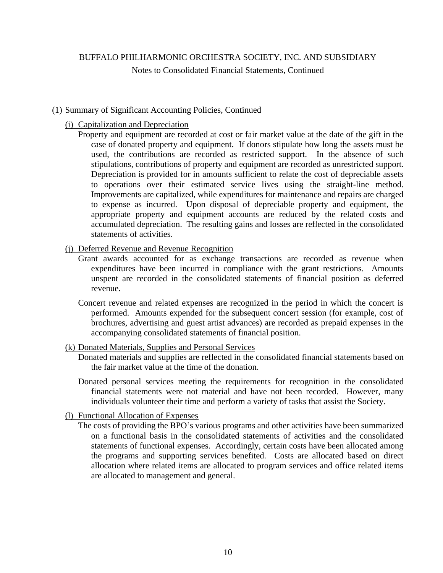# BUFFALO PHILHARMONIC ORCHESTRA SOCIETY, INC. AND SUBSIDIARY

Notes to Consolidated Financial Statements, Continued

# (1) Summary of Significant Accounting Policies, Continued

# (i) Capitalization and Depreciation

Property and equipment are recorded at cost or fair market value at the date of the gift in the case of donated property and equipment. If donors stipulate how long the assets must be used, the contributions are recorded as restricted support. In the absence of such stipulations, contributions of property and equipment are recorded as unrestricted support. Depreciation is provided for in amounts sufficient to relate the cost of depreciable assets to operations over their estimated service lives using the straight-line method. Improvements are capitalized, while expenditures for maintenance and repairs are charged to expense as incurred. Upon disposal of depreciable property and equipment, the appropriate property and equipment accounts are reduced by the related costs and accumulated depreciation. The resulting gains and losses are reflected in the consolidated statements of activities.

# (j) Deferred Revenue and Revenue Recognition

- Grant awards accounted for as exchange transactions are recorded as revenue when expenditures have been incurred in compliance with the grant restrictions. Amounts unspent are recorded in the consolidated statements of financial position as deferred revenue.
- Concert revenue and related expenses are recognized in the period in which the concert is performed. Amounts expended for the subsequent concert session (for example, cost of brochures, advertising and guest artist advances) are recorded as prepaid expenses in the accompanying consolidated statements of financial position.
- (k) Donated Materials, Supplies and Personal Services
	- Donated materials and supplies are reflected in the consolidated financial statements based on the fair market value at the time of the donation.
	- Donated personal services meeting the requirements for recognition in the consolidated financial statements were not material and have not been recorded. However, many individuals volunteer their time and perform a variety of tasks that assist the Society.

# (l) Functional Allocation of Expenses

The costs of providing the BPO's various programs and other activities have been summarized on a functional basis in the consolidated statements of activities and the consolidated statements of functional expenses. Accordingly, certain costs have been allocated among the programs and supporting services benefited. Costs are allocated based on direct allocation where related items are allocated to program services and office related items are allocated to management and general.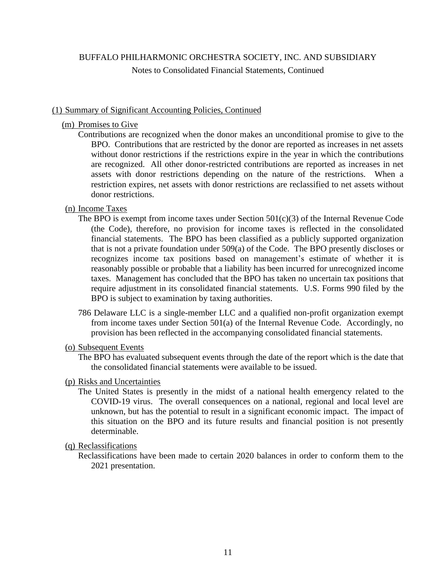#### (1) Summary of Significant Accounting Policies, Continued

#### (m) Promises to Give

Contributions are recognized when the donor makes an unconditional promise to give to the BPO. Contributions that are restricted by the donor are reported as increases in net assets without donor restrictions if the restrictions expire in the year in which the contributions are recognized. All other donor-restricted contributions are reported as increases in net assets with donor restrictions depending on the nature of the restrictions. When a restriction expires, net assets with donor restrictions are reclassified to net assets without donor restrictions.

#### (n) Income Taxes

- The BPO is exempt from income taxes under Section  $501(c)(3)$  of the Internal Revenue Code (the Code), therefore, no provision for income taxes is reflected in the consolidated financial statements. The BPO has been classified as a publicly supported organization that is not a private foundation under 509(a) of the Code. The BPO presently discloses or recognizes income tax positions based on management's estimate of whether it is reasonably possible or probable that a liability has been incurred for unrecognized income taxes. Management has concluded that the BPO has taken no uncertain tax positions that require adjustment in its consolidated financial statements. U.S. Forms 990 filed by the BPO is subject to examination by taxing authorities.
- 786 Delaware LLC is a single-member LLC and a qualified non-profit organization exempt from income taxes under Section 501(a) of the Internal Revenue Code. Accordingly, no provision has been reflected in the accompanying consolidated financial statements.

#### (o) Subsequent Events

The BPO has evaluated subsequent events through the date of the report which is the date that the consolidated financial statements were available to be issued.

#### (p) Risks and Uncertainties

The United States is presently in the midst of a national health emergency related to the COVID-19 virus. The overall consequences on a national, regional and local level are unknown, but has the potential to result in a significant economic impact. The impact of this situation on the BPO and its future results and financial position is not presently determinable.

#### (q) Reclassifications

Reclassifications have been made to certain 2020 balances in order to conform them to the 2021 presentation.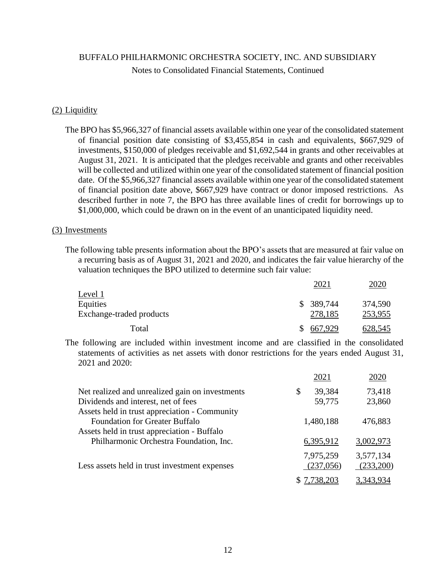#### (2) Liquidity

The BPO has \$5,966,327 of financial assets available within one year of the consolidated statement of financial position date consisting of \$3,455,854 in cash and equivalents, \$667,929 of investments, \$150,000 of pledges receivable and \$1,692,544 in grants and other receivables at August 31, 2021. It is anticipated that the pledges receivable and grants and other receivables will be collected and utilized within one year of the consolidated statement of financial position date. Of the \$5,966,327 financial assets available within one year of the consolidated statement of financial position date above, \$667,929 have contract or donor imposed restrictions. As described further in note 7, the BPO has three available lines of credit for borrowings up to \$1,000,000, which could be drawn on in the event of an unanticipated liquidity need.

#### (3) Investments

The following table presents information about the BPO's assets that are measured at fair value on a recurring basis as of August 31, 2021 and 2020, and indicates the fair value hierarchy of the valuation techniques the BPO utilized to determine such fair value:

|                          | 2021      | 2020    |
|--------------------------|-----------|---------|
| Level 1                  |           |         |
| Equities                 | \$389,744 | 374,590 |
| Exchange-traded products | 278,185   | 253,955 |
| Total                    | 667,929   | 628,545 |

The following are included within investment income and are classified in the consolidated statements of activities as net assets with donor restrictions for the years ended August 31, 2021 and 2020:

|                                                 | 2021         | 2020      |
|-------------------------------------------------|--------------|-----------|
| Net realized and unrealized gain on investments | \$<br>39,384 | 73,418    |
| Dividends and interest, net of fees             | 59,775       | 23,860    |
| Assets held in trust appreciation - Community   |              |           |
| <b>Foundation for Greater Buffalo</b>           | 1,480,188    | 476,883   |
| Assets held in trust appreciation - Buffalo     |              |           |
| Philharmonic Orchestra Foundation, Inc.         | 6,395,912    | 3,002,973 |
|                                                 | 7,975,259    | 3,577,134 |
| Less assets held in trust investment expenses   | (237,056)    | (233,200) |
|                                                 | \$7,738,203  | 3,343,934 |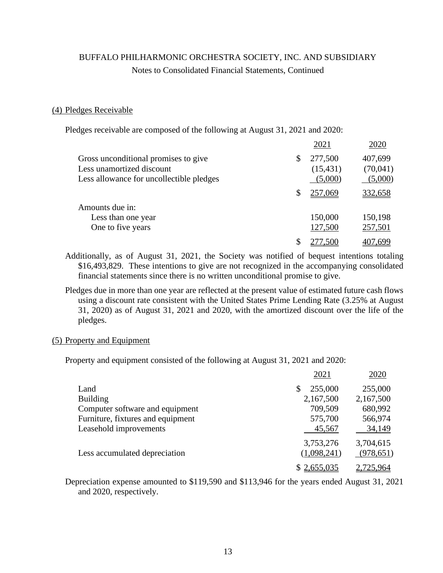#### (4) Pledges Receivable

Pledges receivable are composed of the following at August 31, 2021 and 2020:

|                                          | 2021          | 2020     |
|------------------------------------------|---------------|----------|
| Gross unconditional promises to give     | \$<br>277,500 | 407,699  |
| Less unamortized discount                | (15, 431)     | (70,041) |
| Less allowance for uncollectible pledges | (5,000)       | (5,000)  |
|                                          | \$<br>257,069 | 332,658  |
| Amounts due in:                          |               |          |
| Less than one year                       | 150,000       | 150,198  |
| One to five years                        | 127,500       | 257,501  |
|                                          | 7,500         |          |

Additionally, as of August 31, 2021, the Society was notified of bequest intentions totaling \$16,493,829. These intentions to give are not recognized in the accompanying consolidated financial statements since there is no written unconditional promise to give.

Pledges due in more than one year are reflected at the present value of estimated future cash flows using a discount rate consistent with the United States Prime Lending Rate (3.25% at August 31, 2020) as of August 31, 2021 and 2020, with the amortized discount over the life of the pledges.

#### (5) Property and Equipment

Property and equipment consisted of the following at August 31, 2021 and 2020:

|                                   | 2021          | 2020       |
|-----------------------------------|---------------|------------|
| Land                              | 255,000<br>\$ | 255,000    |
| <b>Building</b>                   | 2,167,500     | 2,167,500  |
| Computer software and equipment   | 709,509       | 680,992    |
| Furniture, fixtures and equipment | 575,700       | 566,974    |
| Leasehold improvements            | 45,567        | 34,149     |
|                                   | 3,753,276     | 3,704,615  |
| Less accumulated depreciation     | (1,098,241)   | (978, 651) |
|                                   | \$2,655,035   | 2,725,964  |

Depreciation expense amounted to \$119,590 and \$113,946 for the years ended August 31, 2021 and 2020, respectively.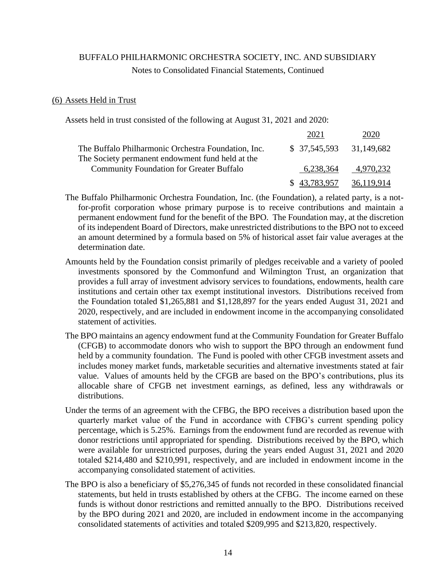#### (6) Assets Held in Trust

Assets held in trust consisted of the following at August 31, 2021 and 2020:

|                                                     | 2021                       | 2020                |
|-----------------------------------------------------|----------------------------|---------------------|
| The Buffalo Philharmonic Orchestra Foundation, Inc. | $$37,545,593$ $31,149,682$ |                     |
| The Society permanent endowment fund held at the    |                            |                     |
| <b>Community Foundation for Greater Buffalo</b>     |                            | 6,238,364 4,970,232 |
|                                                     | $$43,783,957$ $36,119,914$ |                     |

- The Buffalo Philharmonic Orchestra Foundation, Inc. (the Foundation), a related party, is a notfor-profit corporation whose primary purpose is to receive contributions and maintain a permanent endowment fund for the benefit of the BPO. The Foundation may, at the discretion of its independent Board of Directors, make unrestricted distributions to the BPO not to exceed an amount determined by a formula based on 5% of historical asset fair value averages at the determination date.
- Amounts held by the Foundation consist primarily of pledges receivable and a variety of pooled investments sponsored by the Commonfund and Wilmington Trust, an organization that provides a full array of investment advisory services to foundations, endowments, health care institutions and certain other tax exempt institutional investors. Distributions received from the Foundation totaled \$1,265,881 and \$1,128,897 for the years ended August 31, 2021 and 2020, respectively, and are included in endowment income in the accompanying consolidated statement of activities.
- The BPO maintains an agency endowment fund at the Community Foundation for Greater Buffalo (CFGB) to accommodate donors who wish to support the BPO through an endowment fund held by a community foundation. The Fund is pooled with other CFGB investment assets and includes money market funds, marketable securities and alternative investments stated at fair value. Values of amounts held by the CFGB are based on the BPO's contributions, plus its allocable share of CFGB net investment earnings, as defined, less any withdrawals or distributions.
- Under the terms of an agreement with the CFBG, the BPO receives a distribution based upon the quarterly market value of the Fund in accordance with CFBG's current spending policy percentage, which is 5.25%. Earnings from the endowment fund are recorded as revenue with donor restrictions until appropriated for spending. Distributions received by the BPO, which were available for unrestricted purposes, during the years ended August 31, 2021 and 2020 totaled \$214,480 and \$210,991, respectively, and are included in endowment income in the accompanying consolidated statement of activities.
- The BPO is also a beneficiary of \$5,276,345 of funds not recorded in these consolidated financial statements, but held in trusts established by others at the CFBG. The income earned on these funds is without donor restrictions and remitted annually to the BPO. Distributions received by the BPO during 2021 and 2020, are included in endowment income in the accompanying consolidated statements of activities and totaled \$209,995 and \$213,820, respectively.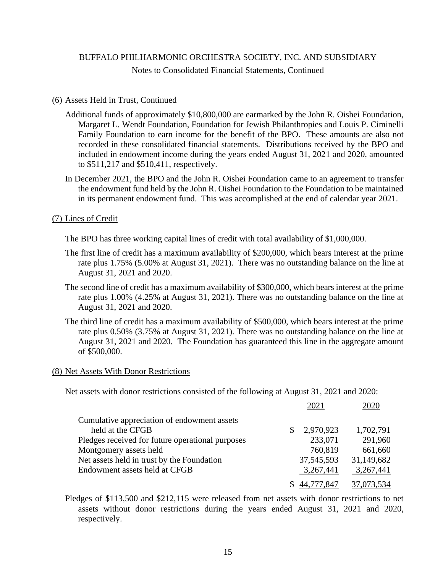#### (6) Assets Held in Trust, Continued

- Additional funds of approximately \$10,800,000 are earmarked by the John R. Oishei Foundation, Margaret L. Wendt Foundation, Foundation for Jewish Philanthropies and Louis P. Ciminelli Family Foundation to earn income for the benefit of the BPO. These amounts are also not recorded in these consolidated financial statements. Distributions received by the BPO and included in endowment income during the years ended August 31, 2021 and 2020, amounted to \$511,217 and \$510,411, respectively.
- In December 2021, the BPO and the John R. Oishei Foundation came to an agreement to transfer the endowment fund held by the John R. Oishei Foundation to the Foundation to be maintained in its permanent endowment fund. This was accomplished at the end of calendar year 2021.

#### (7) Lines of Credit

The BPO has three working capital lines of credit with total availability of \$1,000,000.

- The first line of credit has a maximum availability of \$200,000, which bears interest at the prime rate plus 1.75% (5.00% at August 31, 2021). There was no outstanding balance on the line at August 31, 2021 and 2020.
- The second line of credit has a maximum availability of \$300,000, which bears interest at the prime rate plus 1.00% (4.25% at August 31, 2021). There was no outstanding balance on the line at August 31, 2021 and 2020.
- The third line of credit has a maximum availability of \$500,000, which bears interest at the prime rate plus 0.50% (3.75% at August 31, 2021). There was no outstanding balance on the line at August 31, 2021 and 2020. The Foundation has guaranteed this line in the aggregate amount of \$500,000.

#### (8) Net Assets With Donor Restrictions

Net assets with donor restrictions consisted of the following at August 31, 2021 and 2020:

|                                                  | 2021       | 2020       |
|--------------------------------------------------|------------|------------|
| Cumulative appreciation of endowment assets      |            |            |
| held at the CFGB                                 | 2,970,923  | 1,702,791  |
| Pledges received for future operational purposes | 233,071    | 291,960    |
| Montgomery assets held                           | 760,819    | 661,660    |
| Net assets held in trust by the Foundation       | 37,545,593 | 31,149,682 |
| Endowment assets held at CFGB                    | 3,267,441  | 3,267,441  |
|                                                  | 44,777,847 | 37,073,534 |

Pledges of \$113,500 and \$212,115 were released from net assets with donor restrictions to net assets without donor restrictions during the years ended August 31, 2021 and 2020, respectively.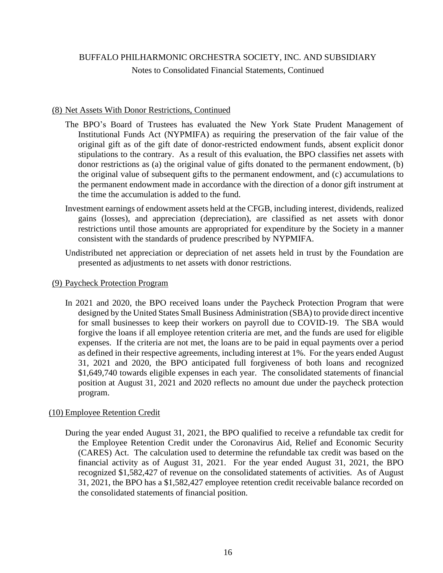#### (8) Net Assets With Donor Restrictions, Continued

- The BPO's Board of Trustees has evaluated the New York State Prudent Management of Institutional Funds Act (NYPMIFA) as requiring the preservation of the fair value of the original gift as of the gift date of donor-restricted endowment funds, absent explicit donor stipulations to the contrary. As a result of this evaluation, the BPO classifies net assets with donor restrictions as (a) the original value of gifts donated to the permanent endowment, (b) the original value of subsequent gifts to the permanent endowment, and (c) accumulations to the permanent endowment made in accordance with the direction of a donor gift instrument at the time the accumulation is added to the fund.
- Investment earnings of endowment assets held at the CFGB, including interest, dividends, realized gains (losses), and appreciation (depreciation), are classified as net assets with donor restrictions until those amounts are appropriated for expenditure by the Society in a manner consistent with the standards of prudence prescribed by NYPMIFA.
- Undistributed net appreciation or depreciation of net assets held in trust by the Foundation are presented as adjustments to net assets with donor restrictions.

#### (9) Paycheck Protection Program

In 2021 and 2020, the BPO received loans under the Paycheck Protection Program that were designed by the United States Small Business Administration (SBA) to provide direct incentive for small businesses to keep their workers on payroll due to COVID-19. The SBA would forgive the loans if all employee retention criteria are met, and the funds are used for eligible expenses. If the criteria are not met, the loans are to be paid in equal payments over a period as defined in their respective agreements, including interest at 1%. For the years ended August 31, 2021 and 2020, the BPO anticipated full forgiveness of both loans and recognized \$1,649,740 towards eligible expenses in each year. The consolidated statements of financial position at August 31, 2021 and 2020 reflects no amount due under the paycheck protection program.

#### (10) Employee Retention Credit

During the year ended August 31, 2021, the BPO qualified to receive a refundable tax credit for the Employee Retention Credit under the Coronavirus Aid, Relief and Economic Security (CARES) Act. The calculation used to determine the refundable tax credit was based on the financial activity as of August 31, 2021. For the year ended August 31, 2021, the BPO recognized \$1,582,427 of revenue on the consolidated statements of activities. As of August 31, 2021, the BPO has a \$1,582,427 employee retention credit receivable balance recorded on the consolidated statements of financial position.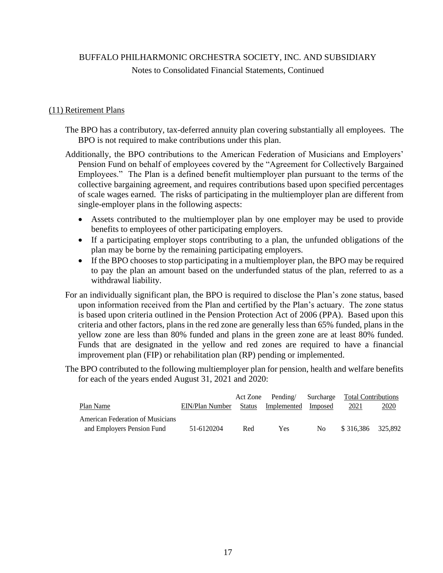#### (11) Retirement Plans

- The BPO has a contributory, tax-deferred annuity plan covering substantially all employees. The BPO is not required to make contributions under this plan.
- Additionally, the BPO contributions to the American Federation of Musicians and Employers' Pension Fund on behalf of employees covered by the "Agreement for Collectively Bargained Employees." The Plan is a defined benefit multiemployer plan pursuant to the terms of the collective bargaining agreement, and requires contributions based upon specified percentages of scale wages earned. The risks of participating in the multiemployer plan are different from single-employer plans in the following aspects:
	- Assets contributed to the multiemployer plan by one employer may be used to provide benefits to employees of other participating employers.
	- If a participating employer stops contributing to a plan, the unfunded obligations of the plan may be borne by the remaining participating employers.
	- If the BPO chooses to stop participating in a multiemployer plan, the BPO may be required to pay the plan an amount based on the underfunded status of the plan, referred to as a withdrawal liability.
- For an individually significant plan, the BPO is required to disclose the Plan's zone status, based upon information received from the Plan and certified by the Plan's actuary. The zone status is based upon criteria outlined in the Pension Protection Act of 2006 (PPA). Based upon this criteria and other factors, plans in the red zone are generally less than 65% funded, plans in the yellow zone are less than 80% funded and plans in the green zone are at least 80% funded. Funds that are designated in the yellow and red zones are required to have a financial improvement plan (FIP) or rehabilitation plan (RP) pending or implemented.
- The BPO contributed to the following multiemployer plan for pension, health and welfare benefits for each of the years ended August 31, 2021 and 2020:

|                                         |                 | Act Zone |             |         | Pending Surcharge Total Contributions |             |
|-----------------------------------------|-----------------|----------|-------------|---------|---------------------------------------|-------------|
| Plan Name                               | EIN/Plan Number | Status   | Implemented | Imposed | <u>2021</u>                           | <u>2020</u> |
| <b>American Federation of Musicians</b> |                 |          |             |         |                                       |             |
| and Employers Pension Fund              | 51-6120204      | Red      | Yes         | No.     | \$316,386 325,892                     |             |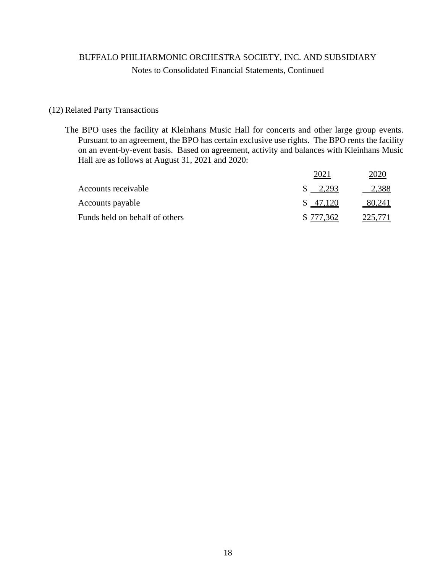### (12) Related Party Transactions

The BPO uses the facility at Kleinhans Music Hall for concerts and other large group events. Pursuant to an agreement, the BPO has certain exclusive use rights. The BPO rents the facility on an event-by-event basis. Based on agreement, activity and balances with Kleinhans Music Hall are as follows at August 31, 2021 and 2020:

|                                | 2021                  | 2020    |
|--------------------------------|-----------------------|---------|
| Accounts receivable            | $\frac{1}{2}$ , 2,293 | 2,388   |
| Accounts payable               | \$47,120              | 80,241  |
| Funds held on behalf of others | \$777,362             | 225,771 |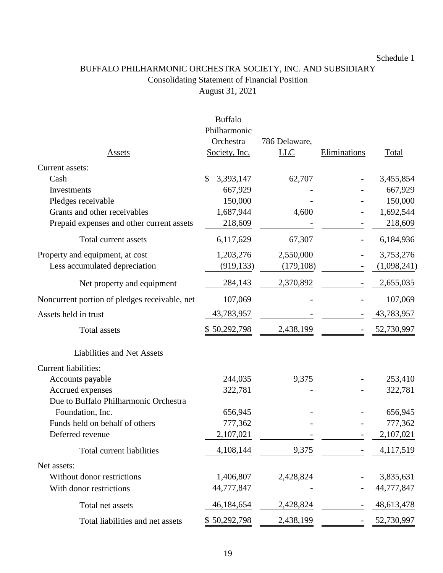### Schedule 1

### BUFFALO PHILHARMONIC ORCHESTRA SOCIETY, INC. AND SUBSIDIARY Consolidating Statement of Financial Position August 31, 2021

|                                               | <b>Buffalo</b>  |               |              |             |
|-----------------------------------------------|-----------------|---------------|--------------|-------------|
|                                               | Philharmonic    |               |              |             |
|                                               | Orchestra       | 786 Delaware, |              |             |
| <b>Assets</b>                                 | Society, Inc.   | <b>LLC</b>    | Eliminations | Total       |
| Current assets:                               |                 |               |              |             |
| Cash                                          | \$<br>3,393,147 | 62,707        |              | 3,455,854   |
| Investments                                   | 667,929         |               |              | 667,929     |
| Pledges receivable                            | 150,000         |               |              | 150,000     |
| Grants and other receivables                  | 1,687,944       | 4,600         |              | 1,692,544   |
| Prepaid expenses and other current assets     | 218,609         |               |              | 218,609     |
| Total current assets                          | 6,117,629       | 67,307        |              | 6,184,936   |
| Property and equipment, at cost               | 1,203,276       | 2,550,000     |              | 3,753,276   |
| Less accumulated depreciation                 | (919, 133)      | (179, 108)    |              | (1,098,241) |
| Net property and equipment                    | 284,143         | 2,370,892     |              | 2,655,035   |
| Noncurrent portion of pledges receivable, net | 107,069         |               |              | 107,069     |
| Assets held in trust                          | 43,783,957      |               |              | 43,783,957  |
| <b>Total assets</b>                           | \$50,292,798    | 2,438,199     |              | 52,730,997  |
| Liabilities and Net Assets                    |                 |               |              |             |
| <b>Current liabilities:</b>                   |                 |               |              |             |
| Accounts payable                              | 244,035         | 9,375         |              | 253,410     |
| Accrued expenses                              | 322,781         |               |              | 322,781     |
| Due to Buffalo Philharmonic Orchestra         |                 |               |              |             |
| Foundation, Inc.                              | 656,945         |               |              | 656,945     |
| Funds held on behalf of others                | 777,362         |               |              | 777,362     |
| Deferred revenue                              | 2,107,021       |               |              | 2,107,021   |
| Total current liabilities                     | 4,108,144       | 9,375         |              | 4,117,519   |
| Net assets:                                   |                 |               |              |             |
| Without donor restrictions                    | 1,406,807       | 2,428,824     |              | 3,835,631   |
| With donor restrictions                       | 44,777,847      |               |              | 44,777,847  |
| Total net assets                              | 46,184,654      | 2,428,824     |              | 48,613,478  |
| Total liabilities and net assets              | \$50,292,798    | 2,438,199     |              | 52,730,997  |